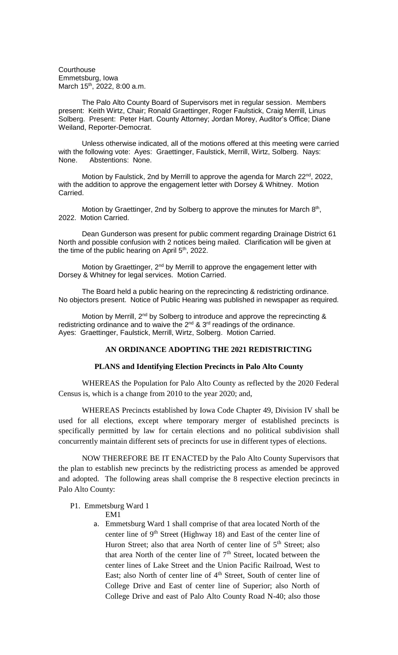**Courthouse** Emmetsburg, Iowa March 15<sup>th</sup>, 2022, 8:00 a.m.

The Palo Alto County Board of Supervisors met in regular session. Members present: Keith Wirtz, Chair; Ronald Graettinger, Roger Faulstick, Craig Merrill, Linus Solberg. Present: Peter Hart. County Attorney; Jordan Morey, Auditor's Office; Diane Weiland, Reporter-Democrat.

Unless otherwise indicated, all of the motions offered at this meeting were carried with the following vote: Ayes: Graettinger, Faulstick, Merrill, Wirtz, Solberg. Nays: None. Abstentions: None.

Motion by Faulstick, 2nd by Merrill to approve the agenda for March 22<sup>nd</sup>, 2022, with the addition to approve the engagement letter with Dorsey & Whitney. Motion Carried.

Motion by Graettinger, 2nd by Solberg to approve the minutes for March  $8<sup>th</sup>$ , 2022. Motion Carried.

Dean Gunderson was present for public comment regarding Drainage District 61 North and possible confusion with 2 notices being mailed. Clarification will be given at the time of the public hearing on April  $5<sup>th</sup>$ , 2022.

Motion by Graettinger,  $2^{nd}$  by Merrill to approve the engagement letter with Dorsey & Whitney for legal services. Motion Carried.

The Board held a public hearing on the reprecincting & redistricting ordinance. No objectors present. Notice of Public Hearing was published in newspaper as required.

Motion by Merrill, 2<sup>nd</sup> by Solberg to introduce and approve the reprecincting & redistricting ordinance and to waive the  $2^{nd}$  &  $3^{rd}$  readings of the ordinance. Ayes: Graettinger, Faulstick, Merrill, Wirtz, Solberg. Motion Carried.

## **AN ORDINANCE ADOPTING THE 2021 REDISTRICTING**

## **PLANS and Identifying Election Precincts in Palo Alto County**

WHEREAS the Population for Palo Alto County as reflected by the 2020 Federal Census is, which is a change from 2010 to the year 2020; and,

WHEREAS Precincts established by Iowa Code Chapter 49, Division IV shall be used for all elections, except where temporary merger of established precincts is specifically permitted by law for certain elections and no political subdivision shall concurrently maintain different sets of precincts for use in different types of elections.

NOW THEREFORE BE IT ENACTED by the Palo Alto County Supervisors that the plan to establish new precincts by the redistricting process as amended be approved and adopted. The following areas shall comprise the 8 respective election precincts in Palo Alto County:

## P1. Emmetsburg Ward 1

EM1

a. Emmetsburg Ward 1 shall comprise of that area located North of the center line of 9<sup>th</sup> Street (Highway 18) and East of the center line of Huron Street; also that area North of center line of 5<sup>th</sup> Street; also that area North of the center line of  $7<sup>th</sup>$  Street, located between the center lines of Lake Street and the Union Pacific Railroad, West to East; also North of center line of  $4<sup>th</sup>$  Street, South of center line of College Drive and East of center line of Superior; also North of College Drive and east of Palo Alto County Road N-40; also those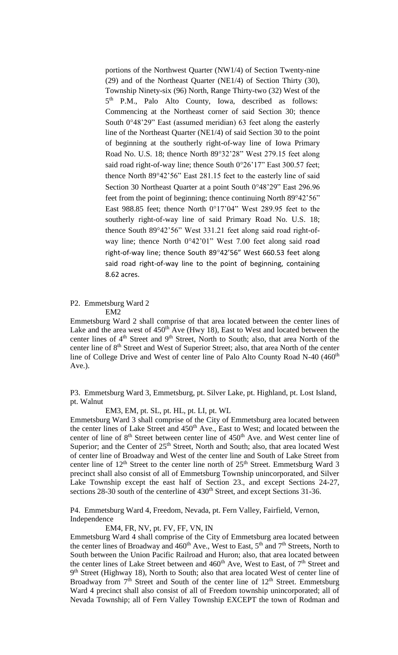portions of the Northwest Quarter (NW1/4) of Section Twenty-nine (29) and of the Northeast Quarter (NE1/4) of Section Thirty (30), Township Ninety-six (96) North, Range Thirty-two (32) West of the 5<sup>th</sup> P.M., Palo Alto County, Iowa, described as follows: Commencing at the Northeast corner of said Section 30; thence South  $0°48'29"$  East (assumed meridian) 63 feet along the easterly line of the Northeast Quarter (NE1/4) of said Section 30 to the point of beginning at the southerly right-of-way line of Iowa Primary Road No. U.S. 18; thence North 89°32'28" West 279.15 feet along said road right-of-way line; thence South 0°26'17" East 300.57 feet; thence North 89°42'56" East 281.15 feet to the easterly line of said Section 30 Northeast Quarter at a point South 0°48'29" East 296.96 feet from the point of beginning; thence continuing North 89°42'56" East 988.85 feet; thence North  $0°17'04"$  West 289.95 feet to the southerly right-of-way line of said Primary Road No. U.S. 18; thence South 89°42'56" West 331.21 feet along said road right-ofway line; thence North 0°42'01" West 7.00 feet along said road right-of-way line; thence South 89°42'56" West 660.53 feet along said road right-of-way line to the point of beginning, containing 8.62 acres.

- P2. Emmetsburg Ward 2
	- EM2

Emmetsburg Ward 2 shall comprise of that area located between the center lines of Lake and the area west of  $450<sup>th</sup>$  Ave (Hwy 18), East to West and located between the center lines of 4<sup>th</sup> Street and 9<sup>th</sup> Street, North to South; also, that area North of the center line of 8<sup>th</sup> Street and West of Superior Street; also, that area North of the center line of College Drive and West of center line of Palo Alto County Road N-40 (460<sup>th</sup> Ave.).

P3. Emmetsburg Ward 3, Emmetsburg, pt. Silver Lake, pt. Highland, pt. Lost Island, pt. Walnut

EM3, EM, pt. SL, pt. HL, pt. LI, pt. WL

Emmetsburg Ward 3 shall comprise of the City of Emmetsburg area located between the center lines of Lake Street and 450<sup>th</sup> Ave., East to West; and located between the center of line of  $8<sup>th</sup>$  Street between center line of  $450<sup>th</sup>$  Ave. and West center line of Superior; and the Center of 25<sup>th</sup> Street, North and South; also, that area located West of center line of Broadway and West of the center line and South of Lake Street from center line of  $12<sup>th</sup>$  Street to the center line north of  $25<sup>th</sup>$  Street. Emmetsburg Ward 3 precinct shall also consist of all of Emmetsburg Township unincorporated, and Silver Lake Township except the east half of Section 23., and except Sections 24-27, sections  $28-30$  south of the centerline of  $430<sup>th</sup>$  Street, and except Sections 31-36.

P4. Emmetsburg Ward 4, Freedom, Nevada, pt. Fern Valley, Fairfield, Vernon, Independence

EM4, FR, NV, pt. FV, FF, VN, IN

Emmetsburg Ward 4 shall comprise of the City of Emmetsburg area located between the center lines of Broadway and 460<sup>th</sup> Ave., West to East, 5<sup>th</sup> and 7<sup>th</sup> Streets, North to South between the Union Pacific Railroad and Huron; also, that area located between the center lines of Lake Street between and 460<sup>th</sup> Ave, West to East, of 7<sup>th</sup> Street and 9<sup>th</sup> Street (Highway 18), North to South; also that area located West of center line of Broadway from  $7<sup>th</sup>$  Street and South of the center line of  $12<sup>th</sup>$  Street. Emmetsburg Ward 4 precinct shall also consist of all of Freedom township unincorporated; all of Nevada Township; all of Fern Valley Township EXCEPT the town of Rodman and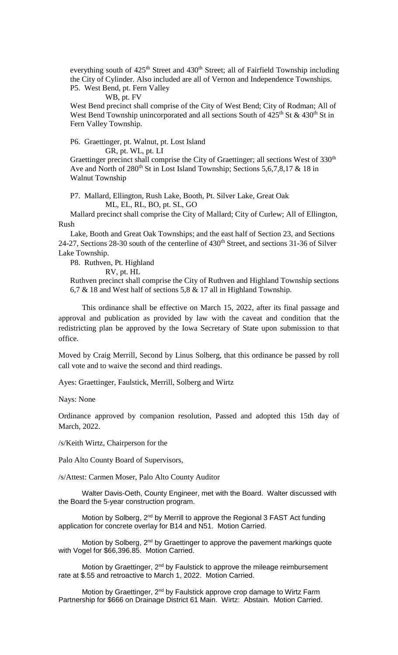everything south of  $425<sup>th</sup>$  Street and  $430<sup>th</sup>$  Street; all of Fairfield Township including the City of Cylinder. Also included are all of Vernon and Independence Townships. P5. West Bend, pt. Fern Valley

#### WB, pt. FV

West Bend precinct shall comprise of the City of West Bend; City of Rodman; All of West Bend Township unincorporated and all sections South of  $425<sup>th</sup>$  St &  $430<sup>th</sup>$  St in Fern Valley Township.

# P6. Graettinger, pt. Walnut, pt. Lost Island

GR, pt. WL, pt. LI

Graettinger precinct shall comprise the City of Graettinger; all sections West of 330<sup>th</sup> Ave and North of  $280<sup>th</sup>$  St in Lost Island Township; Sections 5,6,7,8,17 & 18 in Walnut Township

P7. Mallard, Ellington, Rush Lake, Booth, Pt. Silver Lake, Great Oak ML, EL, RL, BO, pt. SL, GO

 Mallard precinct shall comprise the City of Mallard; City of Curlew; All of Ellington, Rush

 Lake, Booth and Great Oak Townships; and the east half of Section 23, and Sections 24-27, Sections 28-30 south of the centerline of 430<sup>th</sup> Street, and sections 31-36 of Silver Lake Township.

P8. Ruthven, Pt. Highland

RV, pt. HL

Ruthven precinct shall comprise the City of Ruthven and Highland Township sections 6,7 & 18 and West half of sections 5,8 & 17 all in Highland Township.

This ordinance shall be effective on March 15, 2022, after its final passage and approval and publication as provided by law with the caveat and condition that the redistricting plan be approved by the Iowa Secretary of State upon submission to that office.

Moved by Craig Merrill, Second by Linus Solberg, that this ordinance be passed by roll call vote and to waive the second and third readings.

Ayes: Graettinger, Faulstick, Merrill, Solberg and Wirtz

Nays: None

Ordinance approved by companion resolution, Passed and adopted this 15th day of March, 2022.

/s/Keith Wirtz, Chairperson for the

Palo Alto County Board of Supervisors,

/s/Attest: Carmen Moser, Palo Alto County Auditor

Walter Davis-Oeth, County Engineer, met with the Board. Walter discussed with the Board the 5-year construction program.

Motion by Solberg, 2<sup>nd</sup> by Merrill to approve the Regional 3 FAST Act funding application for concrete overlay for B14 and N51. Motion Carried.

Motion by Solberg, 2<sup>nd</sup> by Graettinger to approve the pavement markings quote with Vogel for \$66,396.85. Motion Carried.

Motion by Graettinger, 2<sup>nd</sup> by Faulstick to approve the mileage reimbursement rate at \$.55 and retroactive to March 1, 2022. Motion Carried.

Motion by Graettinger, 2<sup>nd</sup> by Faulstick approve crop damage to Wirtz Farm Partnership for \$666 on Drainage District 61 Main. Wirtz: Abstain. Motion Carried.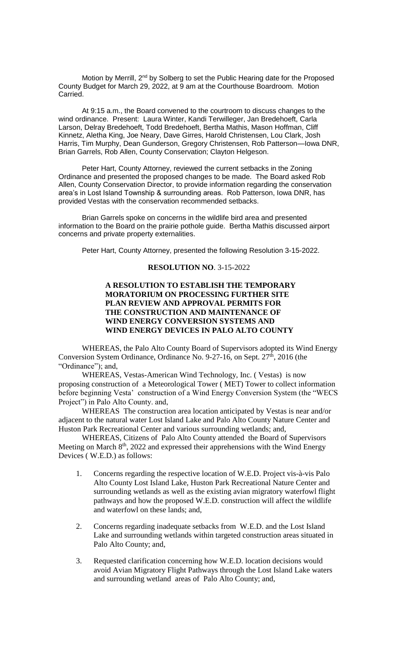Motion by Merrill, 2<sup>nd</sup> by Solberg to set the Public Hearing date for the Proposed County Budget for March 29, 2022, at 9 am at the Courthouse Boardroom. Motion Carried.

At 9:15 a.m., the Board convened to the courtroom to discuss changes to the wind ordinance. Present: Laura Winter, Kandi Terwilleger, Jan Bredehoeft, Carla Larson, Delray Bredehoeft, Todd Bredehoeft, Bertha Mathis, Mason Hoffman, Cliff Kinnetz, Aletha King, Joe Neary, Dave Girres, Harold Christensen, Lou Clark, Josh Harris, Tim Murphy, Dean Gunderson, Gregory Christensen, Rob Patterson—Iowa DNR, Brian Garrels, Rob Allen, County Conservation; Clayton Helgeson.

Peter Hart, County Attorney, reviewed the current setbacks in the Zoning Ordinance and presented the proposed changes to be made. The Board asked Rob Allen, County Conservation Director, to provide information regarding the conservation area's in Lost Island Township & surrounding areas. Rob Patterson, Iowa DNR, has provided Vestas with the conservation recommended setbacks.

Brian Garrels spoke on concerns in the wildlife bird area and presented information to the Board on the prairie pothole guide. Bertha Mathis discussed airport concerns and private property externalities.

Peter Hart, County Attorney, presented the following Resolution 3-15-2022.

#### **RESOLUTION NO**. 3-15-2022

## **A RESOLUTION TO ESTABLISH THE TEMPORARY MORATORIUM ON PROCESSING FURTHER SITE PLAN REVIEW AND APPROVAL PERMITS FOR THE CONSTRUCTION AND MAINTENANCE OF WIND ENERGY CONVERSION SYSTEMS AND WIND ENERGY DEVICES IN PALO ALTO COUNTY**

WHEREAS, the Palo Alto County Board of Supervisors adopted its Wind Energy Conversion System Ordinance, Ordinance No. 9-27-16, on Sept.  $27<sup>th</sup>$ , 2016 (the "Ordinance"); and,

WHEREAS, Vestas-American Wind Technology, Inc. ( Vestas) is now proposing construction of a Meteorological Tower ( MET) Tower to collect information before beginning Vesta' construction of a Wind Energy Conversion System (the "WECS Project") in Palo Alto County. and,

WHEREAS The construction area location anticipated by Vestas is near and/or adjacent to the natural water Lost Island Lake and Palo Alto County Nature Center and Huston Park Recreational Center and various surrounding wetlands; and,

WHEREAS, Citizens of Palo Alto County attended the Board of Supervisors Meeting on March 8<sup>th</sup>, 2022 and expressed their apprehensions with the Wind Energy Devices ( W.E.D.) as follows:

- 1. Concerns regarding the respective location of W.E.D. Project vis-à-vis Palo Alto County Lost Island Lake, Huston Park Recreational Nature Center and surrounding wetlands as well as the existing avian migratory waterfowl flight pathways and how the proposed W.E.D. construction will affect the wildlife and waterfowl on these lands; and,
- 2. Concerns regarding inadequate setbacks from W.E.D. and the Lost Island Lake and surrounding wetlands within targeted construction areas situated in Palo Alto County; and,
- 3. Requested clarification concerning how W.E.D. location decisions would avoid Avian Migratory Flight Pathways through the Lost Island Lake waters and surrounding wetland areas of Palo Alto County; and,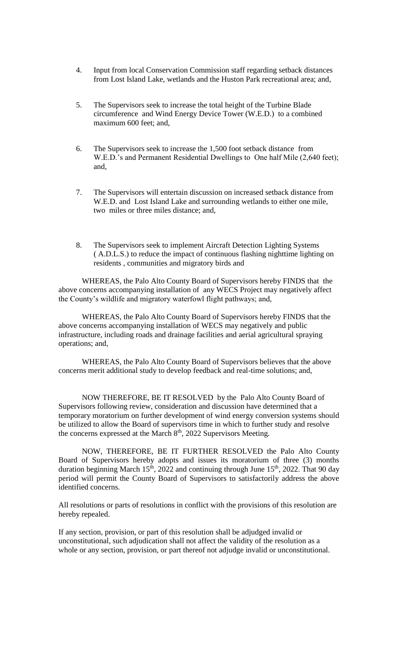- 4. Input from local Conservation Commission staff regarding setback distances from Lost Island Lake, wetlands and the Huston Park recreational area; and,
- 5. The Supervisors seek to increase the total height of the Turbine Blade circumference and Wind Energy Device Tower (W.E.D.) to a combined maximum 600 feet; and,
- 6. The Supervisors seek to increase the 1,500 foot setback distance from W.E.D.'s and Permanent Residential Dwellings to One half Mile (2,640 feet); and,
- 7. The Supervisors will entertain discussion on increased setback distance from W.E.D. and Lost Island Lake and surrounding wetlands to either one mile, two miles or three miles distance; and,
- 8. The Supervisors seek to implement Aircraft Detection Lighting Systems ( A.D.L.S.) to reduce the impact of continuous flashing nighttime lighting on residents , communities and migratory birds and

WHEREAS, the Palo Alto County Board of Supervisors hereby FINDS that the above concerns accompanying installation of any WECS Project may negatively affect the County's wildlife and migratory waterfowl flight pathways; and,

WHEREAS, the Palo Alto County Board of Supervisors hereby FINDS that the above concerns accompanying installation of WECS may negatively and public infrastructure, including roads and drainage facilities and aerial agricultural spraying operations; and,

WHEREAS, the Palo Alto County Board of Supervisors believes that the above concerns merit additional study to develop feedback and real-time solutions; and,

NOW THEREFORE, BE IT RESOLVED by the Palo Alto County Board of Supervisors following review, consideration and discussion have determined that a temporary moratorium on further development of wind energy conversion systems should be utilized to allow the Board of supervisors time in which to further study and resolve the concerns expressed at the March 8<sup>th</sup>, 2022 Supervisors Meeting.

NOW, THEREFORE, BE IT FURTHER RESOLVED the Palo Alto County Board of Supervisors hereby adopts and issues its moratorium of three (3) months duration beginning March 15<sup>th</sup>, 2022 and continuing through June 15<sup>th</sup>, 2022. That 90 day period will permit the County Board of Supervisors to satisfactorily address the above identified concerns.

All resolutions or parts of resolutions in conflict with the provisions of this resolution are hereby repealed.

If any section, provision, or part of this resolution shall be adjudged invalid or unconstitutional, such adjudication shall not affect the validity of the resolution as a whole or any section, provision, or part thereof not adjudge invalid or unconstitutional.